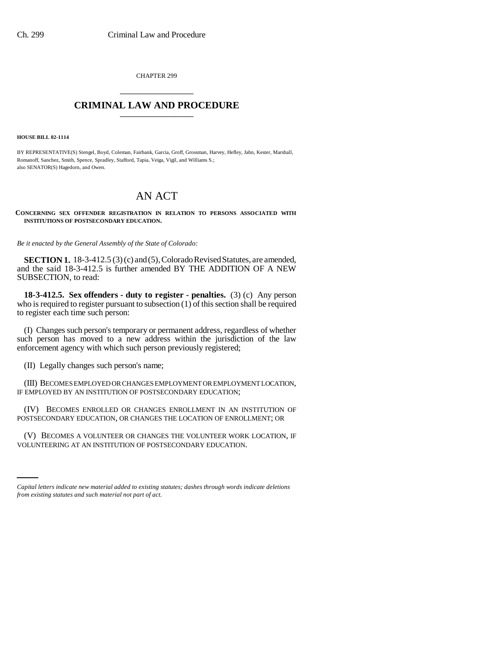CHAPTER 299 \_\_\_\_\_\_\_\_\_\_\_\_\_\_\_

## **CRIMINAL LAW AND PROCEDURE** \_\_\_\_\_\_\_\_\_\_\_\_\_\_\_

**HOUSE BILL 02-1114**

BY REPRESENTATIVE(S) Stengel, Boyd, Coleman, Fairbank, Garcia, Groff, Grossman, Harvey, Hefley, Jahn, Kester, Marshall, Romanoff, Sanchez, Smith, Spence, Spradley, Stafford, Tapia, Veiga, Vigil, and Williams S.; also SENATOR(S) Hagedorn, and Owen.

## AN ACT

**CONCERNING SEX OFFENDER REGISTRATION IN RELATION TO PERSONS ASSOCIATED WITH INSTITUTIONS OF POSTSECONDARY EDUCATION.**

*Be it enacted by the General Assembly of the State of Colorado:*

**SECTION 1.** 18-3-412.5 (3) (c) and (5), Colorado Revised Statutes, are amended, and the said 18-3-412.5 is further amended BY THE ADDITION OF A NEW SUBSECTION, to read:

**18-3-412.5. Sex offenders - duty to register - penalties.** (3) (c) Any person who is required to register pursuant to subsection  $(1)$  of this section shall be required to register each time such person:

(I) Changes such person's temporary or permanent address, regardless of whether such person has moved to a new address within the jurisdiction of the law enforcement agency with which such person previously registered;

(II) Legally changes such person's name;

(III) BECOMES EMPLOYED OR CHANGES EMPLOYMENT OR EMPLOYMENT LOCATION, IF EMPLOYED BY AN INSTITUTION OF POSTSECONDARY EDUCATION;

(IV) BECOMES ENROLLED OR CHANGES ENROLLMENT IN AN INSTITUTION OF POSTSECONDARY EDUCATION, OR CHANGES THE LOCATION OF ENROLLMENT; OR

(V) BECOMES A VOLUNTEER OR CHANGES THE VOLUNTEER WORK LOCATION, IF VOLUNTEERING AT AN INSTITUTION OF POSTSECONDARY EDUCATION.

*Capital letters indicate new material added to existing statutes; dashes through words indicate deletions from existing statutes and such material not part of act.*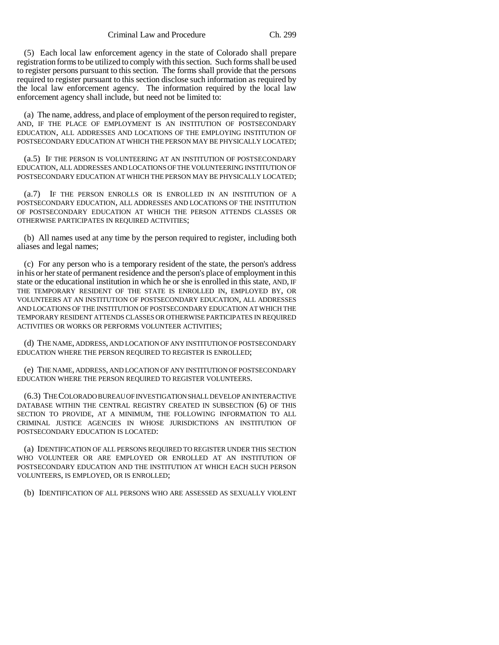Criminal Law and Procedure Ch. 299

(5) Each local law enforcement agency in the state of Colorado shall prepare registration forms to be utilized to comply with this section. Such forms shall be used to register persons pursuant to this section. The forms shall provide that the persons required to register pursuant to this section disclose such information as required by the local law enforcement agency. The information required by the local law enforcement agency shall include, but need not be limited to:

(a) The name, address, and place of employment of the person required to register, AND, IF THE PLACE OF EMPLOYMENT IS AN INSTITUTION OF POSTSECONDARY EDUCATION, ALL ADDRESSES AND LOCATIONS OF THE EMPLOYING INSTITUTION OF POSTSECONDARY EDUCATION AT WHICH THE PERSON MAY BE PHYSICALLY LOCATED;

(a.5) IF THE PERSON IS VOLUNTEERING AT AN INSTITUTION OF POSTSECONDARY EDUCATION, ALL ADDRESSES AND LOCATIONS OF THE VOLUNTEERING INSTITUTION OF POSTSECONDARY EDUCATION AT WHICH THE PERSON MAY BE PHYSICALLY LOCATED;

(a.7) IF THE PERSON ENROLLS OR IS ENROLLED IN AN INSTITUTION OF A POSTSECONDARY EDUCATION, ALL ADDRESSES AND LOCATIONS OF THE INSTITUTION OF POSTSECONDARY EDUCATION AT WHICH THE PERSON ATTENDS CLASSES OR OTHERWISE PARTICIPATES IN REQUIRED ACTIVITIES;

(b) All names used at any time by the person required to register, including both aliases and legal names;

(c) For any person who is a temporary resident of the state, the person's address in his or her state of permanent residence and the person's place of employment in this state or the educational institution in which he or she is enrolled in this state, AND, IF THE TEMPORARY RESIDENT OF THE STATE IS ENROLLED IN, EMPLOYED BY, OR VOLUNTEERS AT AN INSTITUTION OF POSTSECONDARY EDUCATION, ALL ADDRESSES AND LOCATIONS OF THE INSTITUTION OF POSTSECONDARY EDUCATION AT WHICH THE TEMPORARY RESIDENT ATTENDS CLASSES OR OTHERWISE PARTICIPATES IN REQUIRED ACTIVITIES OR WORKS OR PERFORMS VOLUNTEER ACTIVITIES;

(d) THE NAME, ADDRESS, AND LOCATION OF ANY INSTITUTION OF POSTSECONDARY EDUCATION WHERE THE PERSON REQUIRED TO REGISTER IS ENROLLED;

(e) THE NAME, ADDRESS, AND LOCATION OF ANY INSTITUTION OF POSTSECONDARY EDUCATION WHERE THE PERSON REQUIRED TO REGISTER VOLUNTEERS.

(6.3) THE COLORADO BUREAU OF INVESTIGATION SHALL DEVELOP AN INTERACTIVE DATABASE WITHIN THE CENTRAL REGISTRY CREATED IN SUBSECTION (6) OF THIS SECTION TO PROVIDE, AT A MINIMUM, THE FOLLOWING INFORMATION TO ALL CRIMINAL JUSTICE AGENCIES IN WHOSE JURISDICTIONS AN INSTITUTION OF POSTSECONDARY EDUCATION IS LOCATED:

(a) IDENTIFICATION OF ALL PERSONS REQUIRED TO REGISTER UNDER THIS SECTION WHO VOLUNTEER OR ARE EMPLOYED OR ENROLLED AT AN INSTITUTION OF POSTSECONDARY EDUCATION AND THE INSTITUTION AT WHICH EACH SUCH PERSON VOLUNTEERS, IS EMPLOYED, OR IS ENROLLED;

(b) IDENTIFICATION OF ALL PERSONS WHO ARE ASSESSED AS SEXUALLY VIOLENT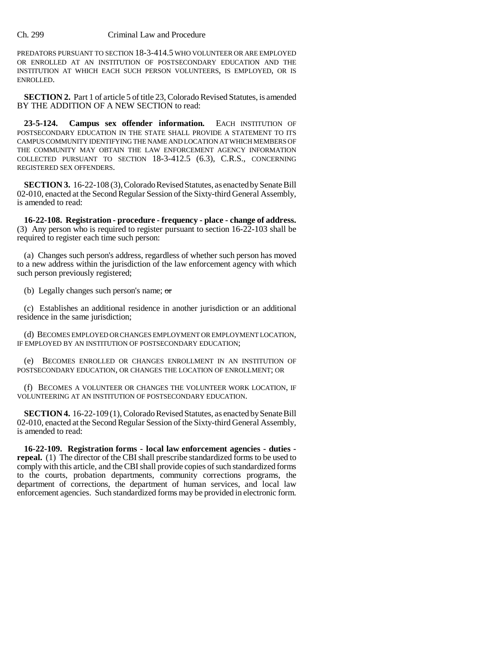## Ch. 299 Criminal Law and Procedure

PREDATORS PURSUANT TO SECTION 18-3-414.5 WHO VOLUNTEER OR ARE EMPLOYED OR ENROLLED AT AN INSTITUTION OF POSTSECONDARY EDUCATION AND THE INSTITUTION AT WHICH EACH SUCH PERSON VOLUNTEERS, IS EMPLOYED, OR IS ENROLLED.

**SECTION 2.** Part 1 of article 5 of title 23, Colorado Revised Statutes, is amended BY THE ADDITION OF A NEW SECTION to read:

23-5-124. Campus sex offender information. EACH INSTITUTION OF POSTSECONDARY EDUCATION IN THE STATE SHALL PROVIDE A STATEMENT TO ITS CAMPUS COMMUNITY IDENTIFYING THE NAME AND LOCATION AT WHICH MEMBERS OF THE COMMUNITY MAY OBTAIN THE LAW ENFORCEMENT AGENCY INFORMATION COLLECTED PURSUANT TO SECTION 18-3-412.5 (6.3), C.R.S., CONCERNING REGISTERED SEX OFFENDERS.

**SECTION 3.** 16-22-108 (3), Colorado Revised Statutes, as enacted by Senate Bill 02-010, enacted at the Second Regular Session of the Sixty-third General Assembly, is amended to read:

**16-22-108. Registration - procedure - frequency - place - change of address.** (3) Any person who is required to register pursuant to section 16-22-103 shall be required to register each time such person:

(a) Changes such person's address, regardless of whether such person has moved to a new address within the jurisdiction of the law enforcement agency with which such person previously registered;

(b) Legally changes such person's name; or

(c) Establishes an additional residence in another jurisdiction or an additional residence in the same jurisdiction;

(d) BECOMES EMPLOYED OR CHANGES EMPLOYMENT OR EMPLOYMENT LOCATION, IF EMPLOYED BY AN INSTITUTION OF POSTSECONDARY EDUCATION;

(e) BECOMES ENROLLED OR CHANGES ENROLLMENT IN AN INSTITUTION OF POSTSECONDARY EDUCATION, OR CHANGES THE LOCATION OF ENROLLMENT; OR

(f) BECOMES A VOLUNTEER OR CHANGES THE VOLUNTEER WORK LOCATION, IF VOLUNTEERING AT AN INSTITUTION OF POSTSECONDARY EDUCATION.

**SECTION 4.** 16-22-109 (1), Colorado Revised Statutes, as enacted by Senate Bill 02-010, enacted at the Second Regular Session of the Sixty-third General Assembly, is amended to read:

**16-22-109. Registration forms - local law enforcement agencies - duties repeal.** (1) The director of the CBI shall prescribe standardized forms to be used to comply with this article, and the CBI shall provide copies of such standardized forms to the courts, probation departments, community corrections programs, the department of corrections, the department of human services, and local law enforcement agencies. Such standardized forms may be provided in electronic form.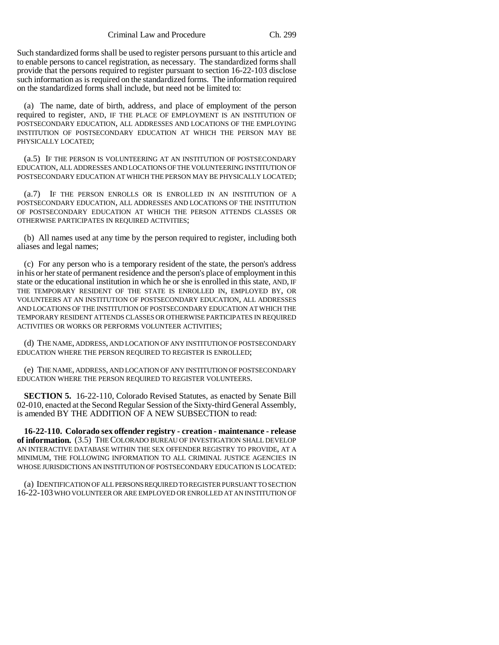Such standardized forms shall be used to register persons pursuant to this article and to enable persons to cancel registration, as necessary. The standardized forms shall provide that the persons required to register pursuant to section 16-22-103 disclose such information as is required on the standardized forms. The information required on the standardized forms shall include, but need not be limited to:

(a) The name, date of birth, address, and place of employment of the person required to register, AND, IF THE PLACE OF EMPLOYMENT IS AN INSTITUTION OF POSTSECONDARY EDUCATION, ALL ADDRESSES AND LOCATIONS OF THE EMPLOYING INSTITUTION OF POSTSECONDARY EDUCATION AT WHICH THE PERSON MAY BE PHYSICALLY LOCATED;

(a.5) IF THE PERSON IS VOLUNTEERING AT AN INSTITUTION OF POSTSECONDARY EDUCATION, ALL ADDRESSES AND LOCATIONS OF THE VOLUNTEERING INSTITUTION OF POSTSECONDARY EDUCATION AT WHICH THE PERSON MAY BE PHYSICALLY LOCATED;

(a.7) IF THE PERSON ENROLLS OR IS ENROLLED IN AN INSTITUTION OF A POSTSECONDARY EDUCATION, ALL ADDRESSES AND LOCATIONS OF THE INSTITUTION OF POSTSECONDARY EDUCATION AT WHICH THE PERSON ATTENDS CLASSES OR OTHERWISE PARTICIPATES IN REQUIRED ACTIVITIES;

(b) All names used at any time by the person required to register, including both aliases and legal names;

(c) For any person who is a temporary resident of the state, the person's address in his or her state of permanent residence and the person's place of employment in this state or the educational institution in which he or she is enrolled in this state, AND, IF THE TEMPORARY RESIDENT OF THE STATE IS ENROLLED IN, EMPLOYED BY, OR VOLUNTEERS AT AN INSTITUTION OF POSTSECONDARY EDUCATION, ALL ADDRESSES AND LOCATIONS OF THE INSTITUTION OF POSTSECONDARY EDUCATION AT WHICH THE TEMPORARY RESIDENT ATTENDS CLASSES OR OTHERWISE PARTICIPATES IN REQUIRED ACTIVITIES OR WORKS OR PERFORMS VOLUNTEER ACTIVITIES;

(d) THE NAME, ADDRESS, AND LOCATION OF ANY INSTITUTION OF POSTSECONDARY EDUCATION WHERE THE PERSON REQUIRED TO REGISTER IS ENROLLED;

(e) THE NAME, ADDRESS, AND LOCATION OF ANY INSTITUTION OF POSTSECONDARY EDUCATION WHERE THE PERSON REQUIRED TO REGISTER VOLUNTEERS.

**SECTION 5.** 16-22-110, Colorado Revised Statutes, as enacted by Senate Bill 02-010, enacted at the Second Regular Session of the Sixty-third General Assembly, is amended BY THE ADDITION OF A NEW SUBSECTION to read:

**16-22-110. Colorado sex offender registry - creation - maintenance - release of information.** (3.5) THE COLORADO BUREAU OF INVESTIGATION SHALL DEVELOP AN INTERACTIVE DATABASE WITHIN THE SEX OFFENDER REGISTRY TO PROVIDE, AT A MINIMUM, THE FOLLOWING INFORMATION TO ALL CRIMINAL JUSTICE AGENCIES IN WHOSE JURISDICTIONS AN INSTITUTION OF POSTSECONDARY EDUCATION IS LOCATED:

(a) IDENTIFICATION OF ALL PERSONS REQUIRED TO REGISTER PURSUANT TO SECTION 16-22-103 WHO VOLUNTEER OR ARE EMPLOYED OR ENROLLED AT AN INSTITUTION OF